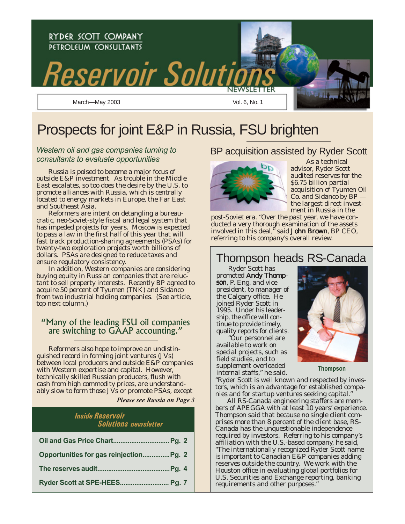

# Prospects for joint E&P in Russia, FSU brighten

### *Western oil and gas companies turning to consultants to evaluate opportunities*

Russia is poised to become a major focus of outside E&P investment. As trouble in the Middle East escalates, so too does the desire by the U.S. to promote alliances with Russia, which is centrally located to energy markets in Europe, the Far East and Southeast Asia.

Reformers are intent on detangling a bureaucratic, neo-Soviet-style fiscal and legal system that has impeded projects for years. Moscow is expected to pass a law in the first half of this year that will fast track production-sharing agreements (PSAs) for twenty-two exploration projects worth billions of dollars. PSAs are designed to reduce taxes and ensure regulatory consistency.

In addition, Western companies are considering buying equity in Russian companies that are reluctant to sell property interests. Recently BP agreed to acquire 50 percent of Tyumen (TNK) and Sidanco from two industrial holding companies. (See article, top next column.)

## "Many of the leading FSU oil companies are switching to GAAP accounting."

Reformers also hope to improve an undistinguished record in forming joint ventures (JVs) between local producers and outside E&P companies with Western expertise and capital. However, technically skilled Russian producers, flush with cash from high commodity prices, are understandably slow to form those JVs or promote PSAs, except

*Please see Russia on Page 3*

### *Inside Reservoir Solutions newsletter*

| Opportunities for gas reinjection Pg. 2 |  |
|-----------------------------------------|--|
|                                         |  |
|                                         |  |

### BP acquisition assisted by Ryder Scott



As a technical advisor, Ryder Scott audited reserves for the \$6.75 billion partial acquisition of Tyumen Oil Co. and Sidanco by BP the largest direct investment in Russia in the

post-Soviet era. "Over the past year, we have conducted a very thorough examination of the assets involved in this deal," said John Brown, BP CEO, referring to his company's overall review.

# Thompson heads RS-Canada

Ryder Scott has promoted Andy Thompson, P. Eng. and vice president, to manager of the Calgary office. He joined Ryder Scott in 1995. Under his leadership, the office will continue to provide timely, quality reports for clients.

"Our personnel are available to work on special projects, such as field studies, and to supplement overloaded internal staffs," he said.



**Thompson**

"Ryder Scott is well known and respected by investors, which is an advantage for established companies and for startup ventures seeking capital."

All RS-Canada engineering staffers are members of APEGGA with at least 10 years' experience. Thompson said that because no single client comprises more than 8 percent of the client base, RS-Canada has the unquestionable independence required by investors. Referring to his company's affiliation with the U.S.-based company, he said, "The internationally recognized Ryder Scott name is important to Canadian E&P companies adding reserves outside the country. We work with the Houston office in evaluating global portfolios for U.S. Securities and Exchange reporting, banking requirements and other purposes."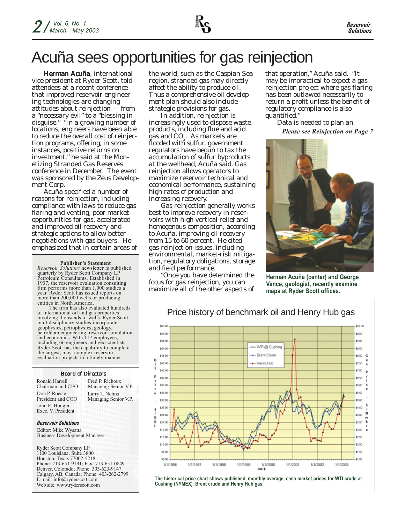# Acuña sees opportunities for gas reinjection

Herman Acuña, international vice president at Ryder Scott, told attendees at a recent conference that improved reservoir-engineering technologies are changing attitudes about reinjection — from a "necessary evil" to a "blessing in disguise." "In a growing number of locations, engineers have been able to reduce the overall cost of reinjection programs, offering, in some instances, positive returns on investment," he said at the Monetizing Stranded Gas Reserves conference in December. The event was sponsored by the Zeus Development Corp.

Acuña specified a number of reasons for reinjection, including compliance with laws to reduce gas flaring and venting, poor market opportunities for gas, accelerated and improved oil recovery and strategic options to allow better negotiations with gas buyers. He emphasized that in certain areas of

#### **Publisher's Statement**

*Reservoir Solutions* newsletter is published quarterly by Ryder Scott Company LP Petroleum Consultants. Established in 1937, the reservoir evaluation consulting firm performs more than 1,000 studies a year. Ryder Scott has issued reports on more than 200,000 wells or producing entities in North America.

The firm has also evaluated hundreds of international oil and gas properties involving thousands of wells. Ryder Scott multidisciplinary studies incorporate geophysics, petrophysics, geology, petroleum engineering, reservoir simulation and economics. With 117 employees, including 66 engineers and geoscientists, Ryder Scott has the capability to complete the largest, most complex reservoirevaluation projects in a timely manner.

#### Board of Directors

Ronald Harrell Chairman and CEO Don P. Roesle President and COO John E. Hodgin Exec. V. President

Larry T. Nelms Managing Senior V.P. Fred P. Richoux Managing Senior V.P.

#### *Reservoir Solutions*

Editor: Mike Wysatta Business Development Manager

Ryder Scott Company LP 1100 Louisiana, Suite 3800 Houston, Texas 77002-5218 Phone: 713-651-9191; Fax: 713-651-0849 Denver, Colorado; Phone: 303-623-9147 Calgary, AB, Canada; Phone: 403-262-2799 E-mail: info@ryderscott.com Web site: www.ryderscott.com

the world, such as the Caspian Sea region, stranded gas may directly affect the ability to produce oil. Thus a comprehensive oil development plan should also include strategic provisions for gas.

In addition, reinjection is increasingly used to dispose waste products, including flue and acid gas and CO<sub>2</sub>. As markets are flooded with sulfur, government regulators have begun to tax the accumulation of sulfur byproducts at the wellhead, Acuña said. Gas reinjection allows operators to maximize reservoir technical and economical performance, sustaining high rates of production and increasing recovery.

Gas reinjection generally works best to improve recovery in reservoirs with high vertical relief and homogenous composition, according to Acuña, improving oil recovery from 15 to 60 percent. He cited gas-reinjection issues, including environmental, market-risk mitigation, regulatory obligations, storage and field performance.

"Once you have determined the focus for gas reinjection, you can maximize all of the other aspects of

that operation," Acuña said. "It may be impractical to expect a gas reinjection project where gas flaring has been outlawed necessarily to return a profit unless the benefit of regulatory compliance is also quantified."

Data is needed to plan an

*Please see Reinjection on Page 7*



**Herman Acuña (center) and George Vance, geologist, recently examine maps at Ryder Scott offices.**



# Price history of benchmark oil and Henry Hub gas

**The historical price chart shows published, monthly-average, cash market prices for WTI crude at Cushing (NYMEX), Brent crude and Henry Hub gas.**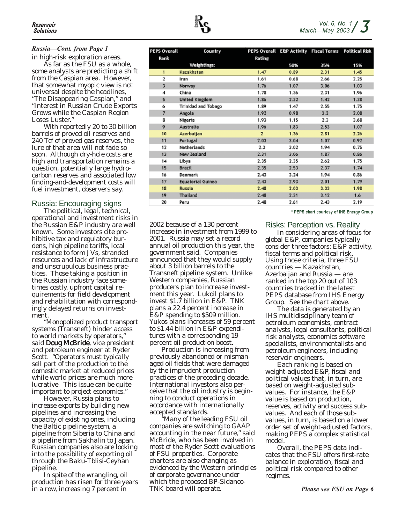#### *Russia—Cont. from Page 1*

in high-risk exploration areas.

As far as the FSU as a whole, some analysts are predicting a shift from the Caspian area. However, that somewhat myopic view is not universal despite the headlines, "The Disappearing Caspian," and "Interest in Russian Crude Exports Grows while the Caspian Region Loses Luster."

With reportedly 20 to 30 billion barrels of proved oil reserves and 240 Tcf of proved gas reserves, the lure of that area will not fade so soon. Although dry-hole costs are high and transportation remains a question, potentially large hydrocarbon reserves and associated low finding-and-development costs will fuel investment, observers say.

#### Russia: Encouraging signs

The political, legal, technical, operational and investment risks in the Russian E&P industry are well known. Some investors cite prohibitive tax and regulatory burdens, high pipeline tariffs, local resistance to form JVs, stranded resources and lack of infrastructure and unscrupulous business practices. Those taking a position in the Russian industry face sometimes costly, upfront capital requirements for field development and rehabilitation with correspondingly delayed returns on investment.

"Monopolized product transport systems (Transneft) hinder access to world markets by operators," said Doug McBride, vice president and petroleum engineer at Ryder Scott. "Operators must typically sell part of the production to the domestic market at reduced prices while world prices are much more lucrative. This issue can be quite important to project economics."

However, Russia plans to increase exports by building new pipelines and increasing the capacity of existing ones, including the Baltic pipeline system, a pipeline from Siberia to China and a pipeline from Sakhalin to Japan. Russian companies also are looking into the possibility of exporting oil through the Baku-Tblisi-Ceyhan pipeline.

In spite of the wrangling, oil production has risen for three years in a row, increasing 7 percent in

 $\overline{\mathbf{z}}$ Iran 1.61  $0.68$ 2.66  $2.25$  $\overline{\overline{\overline{3}}}$ Norway 1.76 1.07 3.06 1.03 4 China 1.78 1.36 2.31 1.96 5 United Kingdom 1.86 2.32  $1.42$ 1.38 6 Trinidad and Tobago 1.89 1.47 2.55 1.75 7 Angola 1.92 0.98  $3.2$ 2.08 8 Nigeria 1.93 1.15  $2.3$ 3.68 9 Australia 1.83 2.53 1.07 1.96 10 Azerbaijan  $\overline{2}$ 1.36 2.81 2.26 2.03  $11$ Portugal  $3.04$ 1.07 0.92 12 Netherlands  $2.3$ 3.02 1.94 0.75  $13$ New Zealand  $2.31$ 3.06 1.87 0.86  $14$ Libya 2.35 2.35 2.62 1.75 15 **Brazil** 2.35 2.53 2.37 1.74 16 Denmark  $2.43$  $3.24$ 1.94 0.86  $17$ **Equatorial Guinea** 1.79  $2.43$ 2.93 2.01  $18$ **Russia**  $2.48$ 2.03  $3.33$ 1.98 19 Thailand 2.48 2.31  $3.12$ 1.6 20 Peru  $2.48$ 2.61  $2.43$ 2.19 **\* PEPS chart courtesy of IHS Energy Group**

Rating

 $1.47$ 

2002 because of a 130 percent increase in investment from 1999 to 2001. Russia may set a record annual oil production this year, the government said. Companies announced that they would supply about 3 billion barrels to the Transneft pipeline system. Unlike Western companies, Russian producers plan to increase investment this year. Lukoil plans to invest \$1.7 billion in E&P. TNK plans a 22.4 percent increase in E&P spending to \$509 million. Yukos plans increases of 59 percent to \$1.44 billion in E&P expenditures with a corresponding 19 percent oil production boost.

Production is increasing from previously abandoned or mismanaged oil fields that were damaged by the imprudent production practices of the preceding decade. International investors also perceive that the oil industry is beginning to conduct operations in accordance with internationally accepted standards.

"Many of the leading FSU oil companies are switching to GAAP accounting in the near future," said McBride, who has been involved in most of the Ryder Scott evaluations of FSU properties. Corporate charters are also changing as evidenced by the Western principles of corporate governance under which the proposed BP-Sidanco-TNK board will operate.

Risks: Perception vs. Reality In considering areas of focus for global E&P, companies typically consider three factors: E&P activity, fiscal terms and political risk. Using those criteria, three FSU countries — Kazakhstan, Azerbaijan and Russia — are ranked in the top 20 out of 103 countries tracked in the latest PEPS database from IHS Energy Group. See the chart above.

The data is generated by an IHS multidisciplinary team of petroleum economists, contract analysts, legal consultants, political risk analysts, economics software specialists, environmentalists and petroleum engineers, including reservoir engineers.

Each ranking is based on weight-adjusted E&P, fiscal and political values that, in turn, are based on weight-adjusted subvalues. For instance, the E&P value is based on production, reserves, activity and success subvalues. And each of those subvalues, in turn, is based on a lower order set of weight-adjusted factors, making PEPS a complex statistical model.

Overall, the PEPS data indicates that the FSU offers first-rate balance in exploration, fiscal and political risk compared to other regimes.



Weightings:

Kazakhstan

Country

**PEPS Overall** 

Rank

 $\mathbf{1}$ 

15%

1.45

35%

2.31

PEPS Overall E&P Activity Fiscal Terms Political Risk

50%

0.89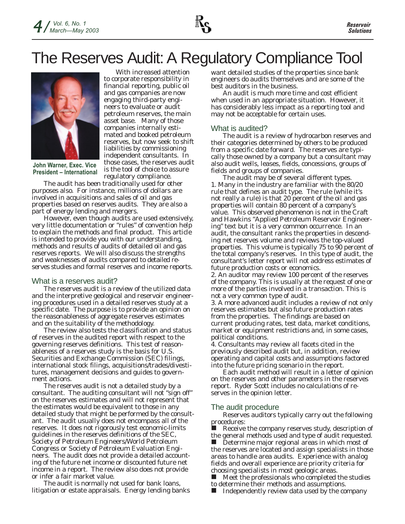

# The Reserves Audit: A Regulatory Compliance Tool



**John Warner, Exec. Vice President – International**

With increased attention to corporate responsibility in financial reporting, public oil and gas companies are now engaging third-party engineers to evaluate or audit petroleum reserves, the main asset base. Many of those companies internally estimated and booked petroleum reserves, but now seek to shift liabilities by commissioning independent consultants. In those cases, the reserves audit is the tool of choice to assure regulatory compliance.

The audit has been traditionally used for other purposes also. For instance, millions of dollars are involved in acquisitions and sales of oil and gas properties based on reserves audits. They are also a part of energy lending and mergers.

However, even though audits are used extensively, very little documentation or "rules" of convention help to explain the methods and final product. This article is intended to provide you with our understanding, methods and results of audits of detailed oil and gas reserves reports. We will also discuss the strengths and weaknesses of audits compared to detailed reserves studies and formal reserves and income reports.

#### What is a reserves audit?

The reserves audit is a review of the utilized data and the interpretive geological and reservoir engineering procedures used in a detailed reserves study at a specific date. The purpose is to provide an opinion on the reasonableness of aggregate reserves estimates and on the suitability of the methodology.

The review also tests the classification and status of reserves in the audited report with respect to the governing reserves definitions. This test of reasonableness of a reserves study is the basis for U.S. Securities and Exchange Commission (SEC) filings, international stock filings, acquisitions/trades/divestitures, management decisions and guides to government actions.

The reserves audit is not a detailed study by a consultant. The auditing consultant will not "sign off" on the reserves estimates and will not represent that the estimates would be equivalent to those in any detailed study that might be performed by the consultant. The audit usually does not encompass all of the reserves. It does not rigorously test economic-limits guidelines in the reserves definitions of the SEC, Society of Petroleum Engineers/World Petroleum Congress or Society of Petroleum Evaluation Engineers. The audit does not provide a detailed accounting of the future net income or discounted future net income in a report. The review also does not provide or infer a fair market value.

The audit is normally not used for bank loans, litigation or estate appraisals. Energy lending banks want detailed studies of the properties since bank engineers do audits themselves and are some of the best auditors in the business.

An audit is much more time and cost efficient when used in an appropriate situation. However, it has considerably less impact as a reporting tool and may not be acceptable for certain uses.

#### What is audited?

The audit is a review of hydrocarbon reserves and their categories determined by others to be produced from a specific date forward. The reserves are typically those owned by a company but a consultant may also audit wells, leases, fields, concessions, groups of fields and groups of companies.

The audit may be of several different types. 1. Many in the industry are familiar with the 80/20 rule that defines an audit type. The rule (while it's not really a rule) is that 20 percent of the oil and gas properties will contain 80 percent of a company's value. This observed phenomenon is not in the Craft and Hawkins "Applied Petroleum Reservoir Engineering" text but it is a very common occurrence. In an audit, the consultant ranks the properties in descending net reserves volume and reviews the top-valued properties. This volume is typically 75 to 90 percent of the total company's reserves. In this type of audit, the consultant's letter report will not address estimates of future production costs or economics.

2. An auditor may review 100 percent of the reserves of the company. This is usually at the request of one or more of the parties involved in a transaction. This is not a very common type of audit.

3. A more advanced audit includes a review of not only reserves estimates but also future production rates from the properties. The findings are based on current producing rates, test data, market conditions, market or equipment restrictions and, in some cases, political conditions.

4. Consultants may review all facets cited in the previously described audit but, in addition, review operating and capital costs and assumptions factored into the future pricing scenario in the report.

Each audit method will result in a letter of opinion on the reserves and other parameters in the reserves report. Ryder Scott includes no calculations of reserves in the opinion letter.

#### The audit procedure

Reserves auditors typically carry out the following procedures:

Receive the company reserves study, description of the general methods used and type of audit requested. Determine major regional areas in which most of the reserves are located and assign specialists in those areas to handle area audits. Experience with analog fields and overall experience are priority criteria for choosing specialists in most geologic areas.

 Meet the professionals who completed the studies to determine their methods and assumptions.

Independently review data used by the company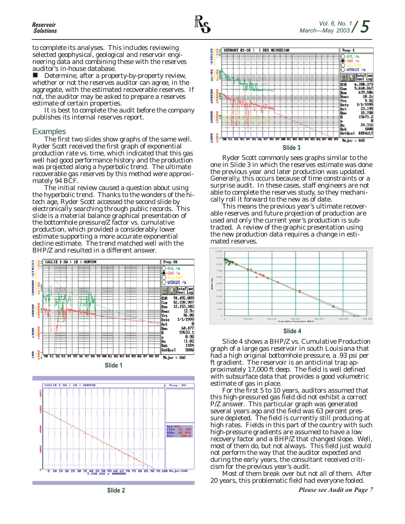to complete its analyses. This includes reviewing selected geophysical, geological and reservoir engineering data and combining these with the reserves auditor's in-house database.

 Determine, after a property-by-property review, whether or not the reserves auditor can agree, in the aggregate, with the estimated recoverable reserves. If not, the auditor may be asked to prepare a reserves estimate of certain properties.

It is best to complete the audit before the company publishes its internal reserves report.

#### Examples

The first two slides show graphs of the same well. Ryder Scott received the first graph of exponential production rate vs. time, which indicated that this gas well had good performance history and the production was projected along a hyperbolic trend. The ultimate recoverable gas reserves by this method were approximately 94 BCF.

The initial review caused a question about using the hyperbolic trend. Thanks to the wonders of the hitech age, Ryder Scott accessed the second slide by electronically searching through public records. This slide is a material balance graphical presentation of the bottomhole pressure/Z factor vs. cumulative production, which provided a considerably lower estimate supporting a more accurate exponential decline estimate. The trend matched well with the BHP/Z and resulted in a different answer.







*Vol. 6, No. 1*

Ryder Scott commonly sees graphs similar to the one in Slide 3 in which the reserves estimate was done the previous year and later production was updated. Generally, this occurs because of time constraints or a surprise audit. In these cases, staff engineers are not able to complete the reserves study, so they mechanically roll it forward to the new as of date.

This means the previous year's ultimate recoverable reserves and future projection of production are used and only the current year's production is subtracted. A review of the graphic presentation using the new production data requires a change in estimated reserves.



#### **Slide 4**

Slide 4 shows a BHP/Z vs. Cumulative Production graph of a large gas reservoir in south Louisiana that had a high original bottomhole pressure, a .93 psi per ft gradient. The reservoir is an anticlinal trap approximately 17,000 ft deep. The field is well defined with subsurface data that provides a good volumetric estimate of gas in place.

For the first 5 to 10 years, auditors assumed that this high-pressured gas field did not exhibit a correct P/Z answer. This particular graph was generated several years ago and the field was 63 percent pressure depleted. The field is currently still producing at high rates. Fields in this part of the country with such high-pressure gradients are assumed to have a low recovery factor and a BHP/Z that changed slope. Well, most of them do, but not always. This field just would not perform the way that the auditor expected and during the early years, the consultant received criticism for the previous year's audit.

Most of them break over but not all of them. After 20 years, this problematic field had everyone fooled.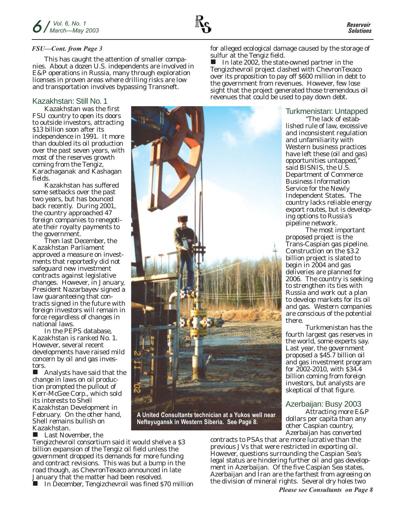#### *FSU—Cont. from Page 3*

This has caught the attention of smaller companies. About a dozen U.S. independents are involved in E&P operations in Russia, many through exploration licenses in proven areas where drilling risks are low and transportation involves bypassing Transneft.

#### Kazakhstan: Still No. 1

Kazakhstan was the first FSU country to open its doors to outside investors, attracting \$13 billion soon after its independence in 1991. It more than doubled its oil production over the past seven years, with most of the reserves growth coming from the Tengiz, Karachaganak and Kashagan fields.

Kazakhstan has suffered some setbacks over the past two years, but has bounced back recently. During 2001, the country approached 47 foreign companies to renegotiate their royalty payments to the government.

Then last December, the Kazakhstan Parliament approved a measure on investments that reportedly did not safeguard new investment contracts against legislative changes. However, in January, President Nazarbayev signed a law guaranteeing that contracts signed in the future with foreign investors will remain in force regardless of changes in national laws.

In the PEPS database, Kazakhstan is ranked No. 1. However, several recent developments have raised mild concern by oil and gas investors.

**Analysts have said that the** change in laws on oil production prompted the pullout of Kerr-McGee Corp., which sold its interests to Shell Kazakhstan Development in February. On the other hand, Shell remains bullish on Kazakhstan.

Last November, the

Tengizchevroil consortium said it would shelve a \$3 billion expansion of the Tengiz oil field unless the government dropped its demands for more funding and contract revisions. This was but a bump in the road though, as ChevronTexaco announced in late January that the matter had been resolved.

In December, Tengizchevroil was fined \$70 million

for alleged ecological damage caused by the storage of sulfur at the Tengiz field.

In late 2002, the state-owned partner in the Tengizchevroil project clashed with ChevronTexaco over its proposition to pay off \$600 million in debt to the government from revenues. However, few lose sight that the project generated those tremendous oil revenues that could be used to pay down debt.

> Turkmenistan: Untapped "The lack of established rule of law, excessive and inconsistent regulation and unfamiliarity with Western business practices have left these (oil and gas) opportunities untapped," said BISNIS, the U.S. Department of Commerce Business Information Service for the Newly Independent States. The country lacks reliable energy export routes, but is developing options to Russia's pipeline network.

The most important proposed project is the Trans-Caspian gas pipeline. Construction on the \$3.2 billion project is slated to begin in 2004 and gas deliveries are planned for 2006. The country is seeking to strengthen its ties with Russia and work out a plan to develop markets for its oil and gas. Western companies are conscious of the potential there.

Turkmenistan has the fourth largest gas reserves in the world, some experts say. Last year, the government proposed a \$45.7 billion oil and gas investment program for 2002-2010, with \$34.4 billion coming from foreign investors, but analysts are skeptical of that figure.

Azerbaijan: Busy 2003 Attracting more E&P dollars per capita than any other Caspian country, Azerbaijan has converted

contracts to PSAs that are more lucrative than the previous JVs that were restricted in exporting oil. However, questions surrounding the Caspian Sea's legal status are hindering further oil and gas development in Azerbaijan. Of the five Caspian Sea states, Azerbaijan and Iran are the farthest from agreeing on the division of mineral rights. Several dry holes two



**A United Consultants technician at a Yukos well near Nefteyugansk in Western Siberia. See Page 8.**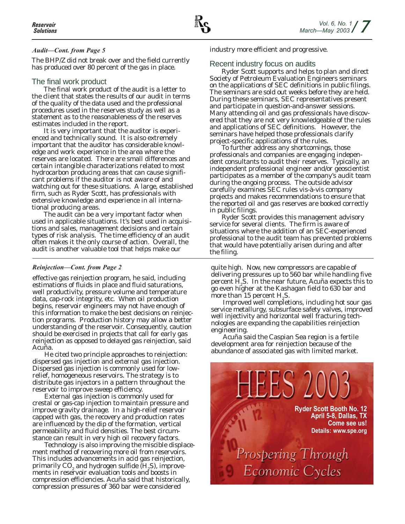The BHP/Z did not break over and the field currently has produced over 80 percent of the gas in place.

#### The final work product

The final work product of the audit is a letter to the client that states the results of our audit in terms of the quality of the data used and the professional procedures used in the reserves study as well as a statement as to the reasonableness of the reserves estimates included in the report.

It is very important that the auditor is experienced and technically sound. It is also extremely important that the auditor has considerable knowledge and work experience in the area where the reserves are located. There are small differences and certain intangible characterizations related to most hydrocarbon producing areas that can cause significant problems if the auditor is not aware of and watching out for these situations. A large, established firm, such as Ryder Scott, has professionals with extensive knowledge and experience in all international producing areas.

The audit can be a very important factor when used in applicable situations. It's best used in acquisitions and sales, management decisions and certain types of risk analysis. The time efficiency of an audit often makes it the only course of action. Overall, the audit is another valuable tool that helps make our

#### *Reinjection—Cont. from Page 2*

effective gas reinjection program, he said, including estimations of fluids in place and fluid saturations, well productivity, pressure volume and temperature data, cap-rock integrity, etc. When oil production begins, reservoir engineers may not have enough of this information to make the best decisions on reinjection programs. Production history may allow a better understanding of the reservoir. Consequently, caution should be exercised in projects that call for early gas reinjection as opposed to delayed gas reinjection, said Acuña.

He cited two principle approaches to reinjection: dispersed gas injection and external gas injection. Dispersed gas injection is commonly used for lowrelief, homogeneous reservoirs. The strategy is to distribute gas injectors in a pattern throughout the reservoir to improve sweep efficiency.

External gas injection is commonly used for crestal or gas-cap injection to maintain pressure and improve gravity drainage. In a high-relief reservoir capped with gas, the recovery and production rates are influenced by the dip of the formation, vertical permeability and fluid densities. The best circumstance can result in very high oil recovery factors.

Technology is also improving the miscible displacement method of recovering more oil from reservoirs. This includes advancements in acid gas reinjection, primarily CO<sub>2</sub> and hydrogen sulfide (H<sub>2</sub>S), improvements in reservoir evaluation tools and boosts in compression efficiencies. Acuña said that historically, compression pressures of 360 bar were considered

*Audit—Cont. from Page 5* industry more efficient and progressive.

#### Recent industry focus on audits

Ryder Scott supports and helps to plan and direct Society of Petroleum Evaluation Engineers seminars on the applications of SEC definitions in public filings. The seminars are sold out weeks before they are held. During these seminars, SEC representatives present and participate in question-and-answer sessions. Many attending oil and gas professionals have discovered that they are not very knowledgeable of the rules and applications of SEC definitions. However, the seminars have helped those professionals clarify project-specific applications of the rules.

To further address any shortcomings, those professionals and companies are engaging independent consultants to audit their reserves. Typically, an independent professional engineer and/or geoscientist participates as a member of the company's audit team during the ongoing process. The outside advisor carefully examines SEC rules vis-à-vis company projects and makes recommendations to ensure that the reported oil and gas reserves are booked correctly in public filings.

Ryder Scott provides this management advisory service for several clients. The firm is aware of situations where the addition of an SEC-experienced professional to the audit team has prevented problems that would have potentially arisen during and after the filing.

quite high. Now, new compressors are capable of delivering pressures up to 560 bar while handling five percent H<sub>2</sub>S. In the near future, Acuña expects this to go even higher at the Kashagan field to 630 bar and more than 15 percent  $H_2S$ .

Improved well completions, including hot sour gas service metallurgy, subsurface safety valves, improved well injectivity and horizontal well fracturing technologies are expanding the capabilities reinjection engineering.

Acuña said the Caspian Sea region is a fertile development area for reinjection because of the abundance of associated gas with limited market.

> **Ryder Scott Booth No. 12 April 5-8, Dallas, TX Come see us! Details: www.spe.org**

Prospering Through Economic Cycles